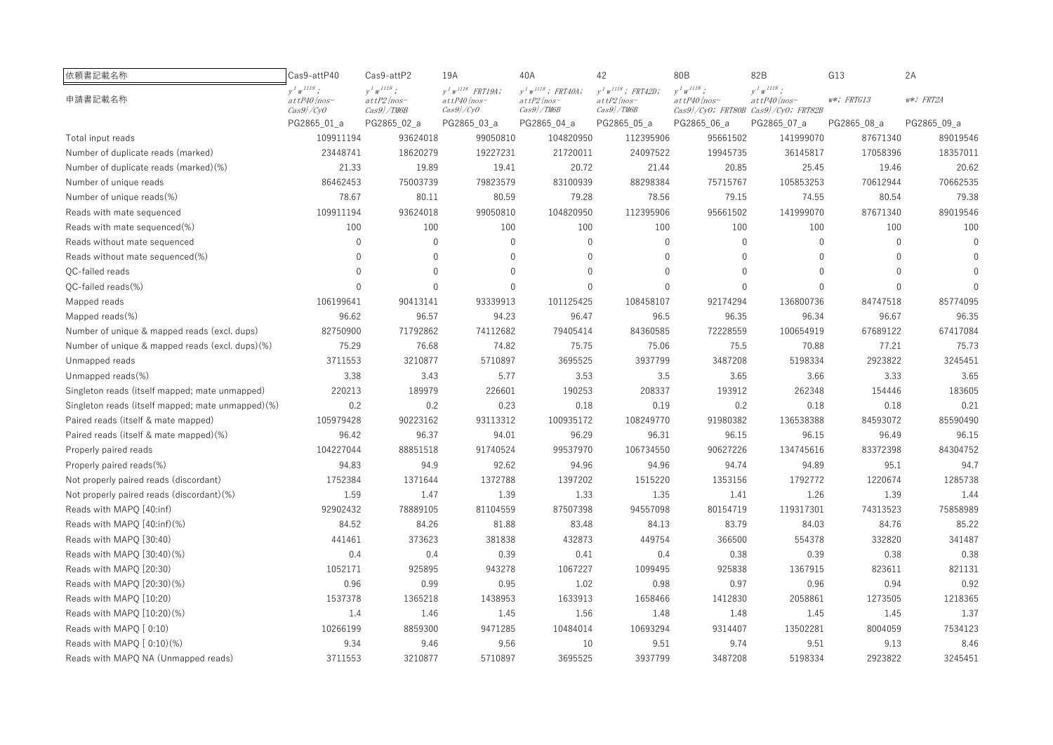| 依頼書記載名称                                           | Cas9-attP40                               | Cas9-attP2                            | 19A                                          | 40A                                            | 42                                            | 80B                                 | 82B                                 | G13           | 2A           |
|---------------------------------------------------|-------------------------------------------|---------------------------------------|----------------------------------------------|------------------------------------------------|-----------------------------------------------|-------------------------------------|-------------------------------------|---------------|--------------|
| 申請書記載名称                                           | $y^I w^{I I I S}$ ;<br>$at$ t $P40$ {nos- | $V^I W^{IIIS}$ :<br>$at$ t $P2$ {nos- | $y^I w^{II18}$ FRT19A;<br>$at$ t $P40$ {nos- | $y^I\,w^{I118}$ ; FRT40A;<br>$at$ t $P2$ {nos- | $y^T w^{1118}$ ; FRT42D;<br>$at$ t $P2$ {nos- | $y^I w^{II18}$ ;<br>$at tP40$ {nos- | $y^I w^{II18}$ ;<br>$at tP40$ {nos- | $w*$ ; FRTG13 | $w*$ ; FRT2A |
|                                                   | $\left\langle Cas9\right\rangle / CyO$    | $Cas9$ / TM6B                         | $Cas9$ /CyO                                  | $Cas9$ / TM6B                                  | $Cas9$ / TM6B                                 |                                     | Cas9}/CyO; FRT80B Cas9}/CyO; FRT82B |               |              |
|                                                   | PG2865_01_a                               | PG2865_02_a                           | PG2865_03_a                                  | PG2865_04_a                                    | PG2865_05_a                                   | PG2865_06_a                         | PG2865_07_a                         | PG2865_08_a   | PG2865_09_a  |
| Total input reads                                 | 109911194                                 | 93624018                              | 99050810                                     | 104820950                                      | 112395906                                     | 95661502                            | 141999070                           | 87671340      | 89019546     |
| Number of duplicate reads (marked)                | 23448741                                  | 18620279                              | 19227231                                     | 21720011                                       | 24097522                                      | 19945735                            | 36145817                            | 17058396      | 18357011     |
| Number of duplicate reads (marked)(%)             | 21.33                                     | 19.89                                 | 19.41                                        | 20.72                                          | 21.44                                         | 20.85                               | 25.45                               | 19.46         | 20.62        |
| Number of unique reads                            | 86462453                                  | 75003739                              | 79823579                                     | 83100939                                       | 88298384                                      | 75715767                            | 105853253                           | 70612944      | 70662535     |
| Number of unique reads(%)                         | 78.67                                     | 80.11                                 | 80.59                                        | 79.28                                          | 78.56                                         | 79.15                               | 74.55                               | 80.54         | 79.38        |
| Reads with mate sequenced                         | 109911194                                 | 93624018                              | 99050810                                     | 104820950                                      | 112395906                                     | 95661502                            | 141999070                           | 87671340      | 89019546     |
| Reads with mate sequenced(%)                      | 100                                       | 100                                   | 100                                          | 100                                            | 100                                           | 100                                 | 100                                 | 100           | 100          |
| Reads without mate sequenced                      | $\mathbf 0$                               | $\mathbf{0}$                          | $\mathbf 0$                                  | $\mathbf 0$                                    | $\mathbf{0}$                                  | $\mathbf{0}$                        | $\mathbf{0}$                        | $\theta$      | $\Omega$     |
| Reads without mate sequenced(%)                   | $\mathbf 0$                               | $\mathbf{0}$                          | $\mathbf 0$                                  | $\mathbf{0}$                                   | $\Omega$                                      | $\Omega$                            | $\Omega$                            | $\Omega$      |              |
| OC-failed reads                                   | $\Omega$                                  | $\Omega$                              | $\Omega$                                     | $\Omega$                                       | $\Omega$                                      | $\Omega$                            | $\Omega$                            | $\Omega$      |              |
| QC-failed reads(%)                                | $\Omega$                                  | $\Omega$                              | $\Omega$                                     | $\Omega$                                       | $\Omega$                                      | $\Omega$                            | $\Omega$                            | $\Omega$      |              |
| Mapped reads                                      | 106199641                                 | 90413141                              | 93339913                                     | 101125425                                      | 108458107                                     | 92174294                            | 136800736                           | 84747518      | 85774095     |
| Mapped reads $(\%)$                               | 96.62                                     | 96.57                                 | 94.23                                        | 96.47                                          | 96.5                                          | 96.35                               | 96.34                               | 96.67         | 96.35        |
| Number of unique & mapped reads (excl. dups)      | 82750900                                  | 71792862                              | 74112682                                     | 79405414                                       | 84360585                                      | 72228559                            | 100654919                           | 67689122      | 67417084     |
| Number of unique & mapped reads (excl. dups)(%)   | 75.29                                     | 76.68                                 | 74.82                                        | 75.75                                          | 75.06                                         | 75.5                                | 70.88                               | 77.21         | 75.73        |
| Unmapped reads                                    | 3711553                                   | 3210877                               | 5710897                                      | 3695525                                        | 3937799                                       | 3487208                             | 5198334                             | 2923822       | 3245451      |
| Unmapped reads(%)                                 | 3.38                                      | 3.43                                  | 5.77                                         | 3.53                                           | 3.5                                           | 3.65                                | 3.66                                | 3.33          | 3.65         |
| Singleton reads (itself mapped; mate unmapped)    | 220213                                    | 189979                                | 226601                                       | 190253                                         | 208337                                        | 193912                              | 262348                              | 154446        | 183605       |
| Singleton reads (itself mapped; mate unmapped)(%) | 0.2                                       | 0.2                                   | 0.23                                         | 0.18                                           | 0.19                                          | 0.2                                 | 0.18                                | 0.18          | 0.21         |
| Paired reads (itself & mate mapped)               | 105979428                                 | 90223162                              | 93113312                                     | 100935172                                      | 108249770                                     | 91980382                            | 136538388                           | 84593072      | 85590490     |
| Paired reads (itself & mate mapped)(%)            | 96.42                                     | 96.37                                 | 94.01                                        | 96.29                                          | 96.31                                         | 96.15                               | 96.15                               | 96.49         | 96.15        |
| Properly paired reads                             | 104227044                                 | 88851518                              | 91740524                                     | 99537970                                       | 106734550                                     | 90627226                            | 134745616                           | 83372398      | 84304752     |
| Properly paired reads(%)                          | 94.83                                     | 94.9                                  | 92.62                                        | 94.96                                          | 94.96                                         | 94.74                               | 94.89                               | 95.1          | 94.7         |
| Not properly paired reads (discordant)            | 1752384                                   | 1371644                               | 1372788                                      | 1397202                                        | 1515220                                       | 1353156                             | 1792772                             | 1220674       | 1285738      |
| Not properly paired reads (discordant)(%)         | 1.59                                      | 1.47                                  | 1.39                                         | 1.33                                           | 1.35                                          | 1.41                                | 1.26                                | 1.39          | 1.44         |
| Reads with MAPO [40:inf)                          | 92902432                                  | 78889105                              | 81104559                                     | 87507398                                       | 94557098                                      | 80154719                            | 119317301                           | 74313523      | 75858989     |
| Reads with MAPQ [40:inf)(%)                       | 84.52                                     | 84.26                                 | 81.88                                        | 83.48                                          | 84.13                                         | 83.79                               | 84.03                               | 84.76         | 85.22        |
| Reads with MAPO [30:40)                           | 441461                                    | 373623                                | 381838                                       | 432873                                         | 449754                                        | 366500                              | 554378                              | 332820        | 341487       |
| Reads with MAPO [30:40)(%)                        | 0.4                                       | 0.4                                   | 0.39                                         | 0.41                                           | 0.4                                           | 0.38                                | 0.39                                | 0.38          | 0.38         |
| Reads with MAPQ [20:30)                           | 1052171                                   | 925895                                | 943278                                       | 1067227                                        | 1099495                                       | 925838                              | 1367915                             | 823611        | 821131       |
| Reads with MAPQ [20:30)(%)                        | 0.96                                      | 0.99                                  | 0.95                                         | 1.02                                           | 0.98                                          | 0.97                                | 0.96                                | 0.94          | 0.92         |
| Reads with MAPO [10:20)                           | 1537378                                   | 1365218                               | 1438953                                      | 1633913                                        | 1658466                                       | 1412830                             | 2058861                             | 1273505       | 1218365      |
| Reads with MAPO [10:20)(%)                        | 1.4                                       | 1.46                                  | 1.45                                         | 1.56                                           | 1.48                                          | 1.48                                | 1.45                                | 1.45          | 1.37         |
| Reads with MAPQ [0:10)                            | 10266199                                  | 8859300                               | 9471285                                      | 10484014                                       | 10693294                                      | 9314407                             | 13502281                            | 8004059       | 7534123      |
| Reads with MAPQ [0:10)(%)                         | 9.34                                      | 9.46                                  | 9.56                                         | 10                                             | 9.51                                          | 9.74                                | 9.51                                | 9.13          | 8.46         |
| Reads with MAPO NA (Unmapped reads)               | 3711553                                   | 3210877                               | 5710897                                      | 3695525                                        | 3937799                                       | 3487208                             | 5198334                             | 2923822       | 3245451      |